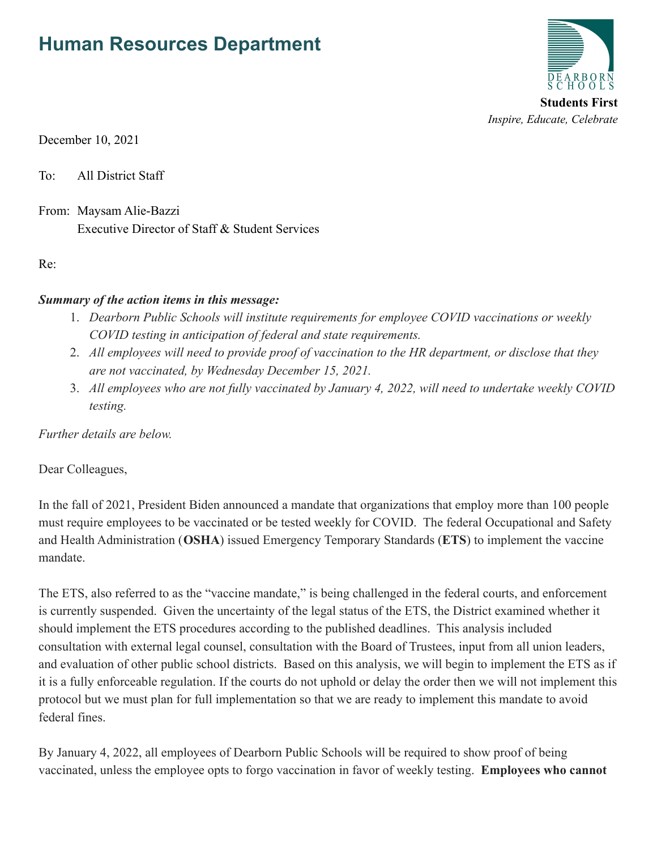# **Human Resources Department**



December 10, 2021

To: All District Staff

From: Maysam Alie-Bazzi Executive Director of Staff & Student Services

Re:

#### *Summary of the action items in this message:*

- 1. *Dearborn Public Schools will institute requirements for employee COVID vaccinations or weekly COVID testing in anticipation of federal and state requirements.*
- 2. *All employees will need to provide proof of vaccination to the HR department, or disclose that they are not vaccinated, by Wednesday December 15, 2021.*
- 3. *All employees who are not fully vaccinated by January 4, 2022, will need to undertake weekly COVID testing.*

*Further details are below.*

Dear Colleagues,

In the fall of 2021, President Biden announced a mandate that organizations that employ more than 100 people must require employees to be vaccinated or be tested weekly for COVID. The federal Occupational and Safety and Health Administration (**OSHA**) issued Emergency Temporary Standards (**ETS**) to implement the vaccine mandate.

The ETS, also referred to as the "vaccine mandate," is being challenged in the federal courts, and enforcement is currently suspended. Given the uncertainty of the legal status of the ETS, the District examined whether it should implement the ETS procedures according to the published deadlines. This analysis included consultation with external legal counsel, consultation with the Board of Trustees, input from all union leaders, and evaluation of other public school districts. Based on this analysis, we will begin to implement the ETS as if it is a fully enforceable regulation. If the courts do not uphold or delay the order then we will not implement this protocol but we must plan for full implementation so that we are ready to implement this mandate to avoid federal fines.

By January 4, 2022, all employees of Dearborn Public Schools will be required to show proof of being vaccinated, unless the employee opts to forgo vaccination in favor of weekly testing. **Employees who cannot**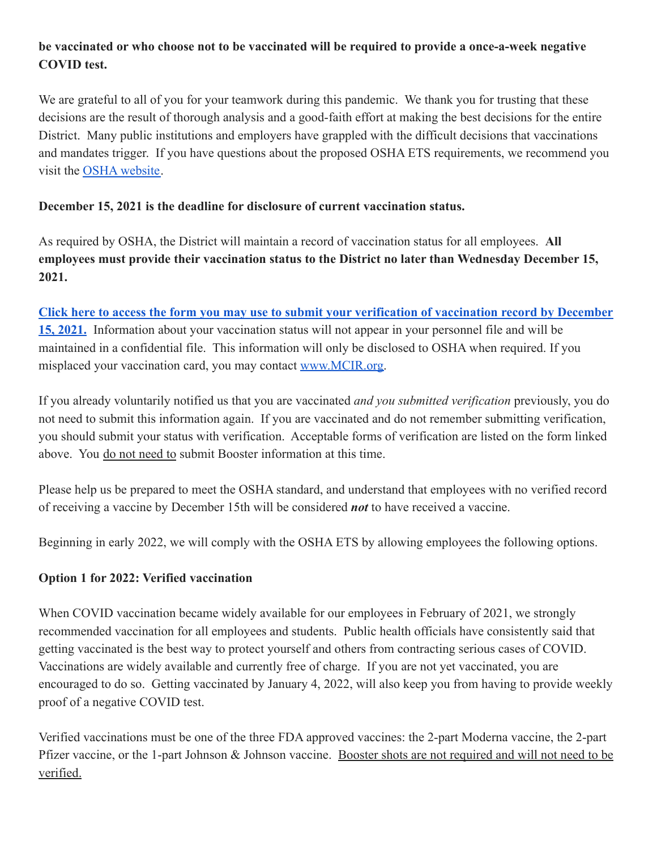## **be vaccinated or who choose not to be vaccinated will be required to provide a once-a-week negative COVID test.**

We are grateful to all of you for your teamwork during this pandemic. We thank you for trusting that these decisions are the result of thorough analysis and a good-faith effort at making the best decisions for the entire District. Many public institutions and employers have grappled with the difficult decisions that vaccinations and mandates trigger. If you have questions about the proposed OSHA ETS requirements, we recommend you visit the [OSHA website.](https://www.osha.gov/coronavirus/ets2)

#### **December 15, 2021 is the deadline for disclosure of current vaccination status.**

As required by OSHA, the District will maintain a record of vaccination status for all employees. **All employees must provide their vaccination status to the District no later than Wednesday December 15, 2021.**

**[Click here to access the form you may use to submit your verification of vaccination record by December](https://docs.google.com/forms/d/1dxSYDtKd6plk_JN0FxsJZPDJRulp_a_1z6Cq837If-4/edit) [15, 2021.](https://docs.google.com/forms/d/1dxSYDtKd6plk_JN0FxsJZPDJRulp_a_1z6Cq837If-4/edit)** Information about your vaccination status will not appear in your personnel file and will be maintained in a confidential file. This information will only be disclosed to OSHA when required. If you misplaced your vaccination card, you may contact [www.MCIR.org.](http://www.mcir.org)

If you already voluntarily notified us that you are vaccinated *and you submitted verification* previously, you do not need to submit this information again. If you are vaccinated and do not remember submitting verification, you should submit your status with verification. Acceptable forms of verification are listed on the form linked above. You do not need to submit Booster information at this time.

Please help us be prepared to meet the OSHA standard, and understand that employees with no verified record of receiving a vaccine by December 15th will be considered *not* to have received a vaccine.

Beginning in early 2022, we will comply with the OSHA ETS by allowing employees the following options.

### **Option 1 for 2022: Verified vaccination**

When COVID vaccination became widely available for our employees in February of 2021, we strongly recommended vaccination for all employees and students. Public health officials have consistently said that getting vaccinated is the best way to protect yourself and others from contracting serious cases of COVID. Vaccinations are widely available and currently free of charge. If you are not yet vaccinated, you are encouraged to do so. Getting vaccinated by January 4, 2022, will also keep you from having to provide weekly proof of a negative COVID test.

Verified vaccinations must be one of the three FDA approved vaccines: the 2-part Moderna vaccine, the 2-part Pfizer vaccine, or the 1-part Johnson & Johnson vaccine. Booster shots are not required and will not need to be verified.